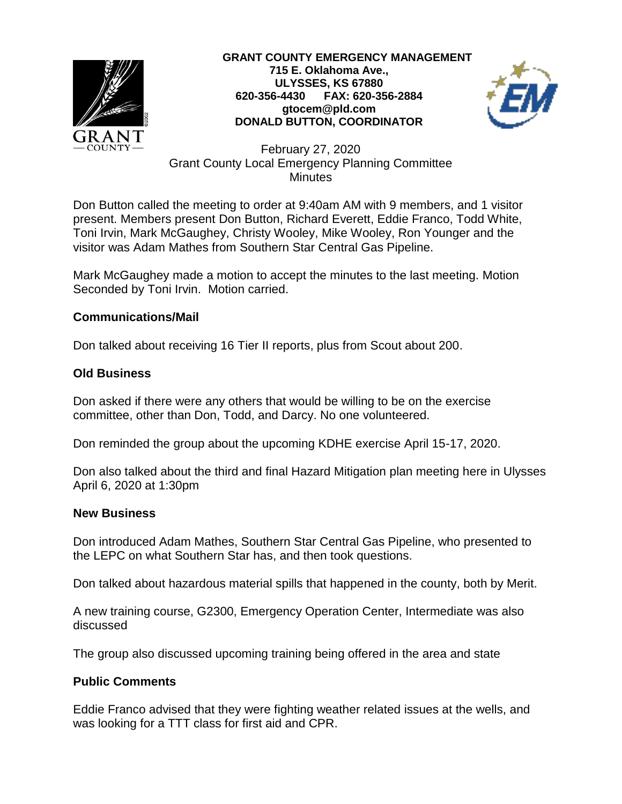

### **GRANT COUNTY EMERGENCY MANAGEMENT 715 E. Oklahoma Ave., ULYSSES, KS 67880 620-356-4430 FAX: 620-356-2884 gtocem@pld.com DONALD BUTTON, COORDINATOR**



February 27, 2020 Grant County Local Emergency Planning Committee **Minutes** 

Don Button called the meeting to order at 9:40am AM with 9 members, and 1 visitor present. Members present Don Button, Richard Everett, Eddie Franco, Todd White, Toni Irvin, Mark McGaughey, Christy Wooley, Mike Wooley, Ron Younger and the visitor was Adam Mathes from Southern Star Central Gas Pipeline.

Mark McGaughey made a motion to accept the minutes to the last meeting. Motion Seconded by Toni Irvin. Motion carried.

# **Communications/Mail**

Don talked about receiving 16 Tier II reports, plus from Scout about 200.

# **Old Business**

Don asked if there were any others that would be willing to be on the exercise committee, other than Don, Todd, and Darcy. No one volunteered.

Don reminded the group about the upcoming KDHE exercise April 15-17, 2020.

Don also talked about the third and final Hazard Mitigation plan meeting here in Ulysses April 6, 2020 at 1:30pm

## **New Business**

Don introduced Adam Mathes, Southern Star Central Gas Pipeline, who presented to the LEPC on what Southern Star has, and then took questions.

Don talked about hazardous material spills that happened in the county, both by Merit.

A new training course, G2300, Emergency Operation Center, Intermediate was also discussed

The group also discussed upcoming training being offered in the area and state

## **Public Comments**

Eddie Franco advised that they were fighting weather related issues at the wells, and was looking for a TTT class for first aid and CPR.